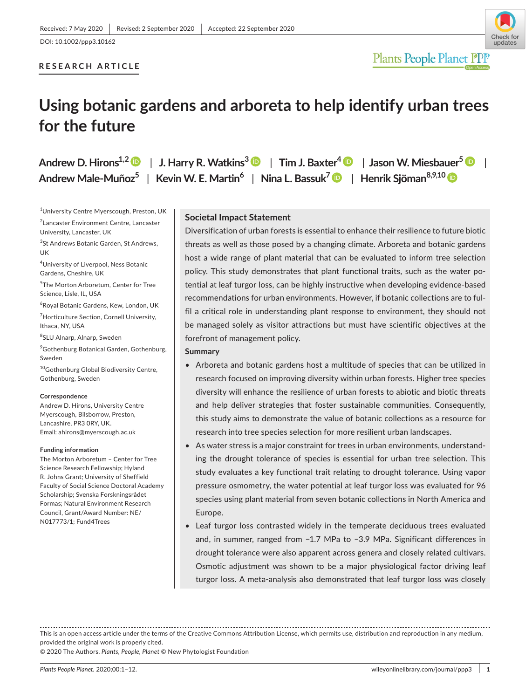## **RESEARCH ARTICLE**



Plants People Planet PPP

# **Using botanic gardens and arboreta to help identify urban trees for the future**

**Andrew D. Hirons1,[2](https://orcid.org/0000-0002-7870-8266)** | **J. Harry R. Watkins[3](https://orcid.org/0000-0002-4038-7145)** | **Tim J. Baxter[4](https://orcid.org/0000-0001-5220-3131)** | **Jason W. Miesbauer[5](https://orcid.org/0000-0002-8124-6189)** | **Andrew Male-Muñoz<sup>5</sup>** | **Kevin W. E. Martin<sup>6</sup>** | **Nina L. Bassuk<sup>7</sup>** | **Henrik Sjöman8,9,10**

1 University Centre Myerscough, Preston, UK

2 Lancaster Environment Centre, Lancaster

University, Lancaster, UK

<sup>3</sup>St Andrews Botanic Garden, St Andrews, UK

4 University of Liverpool, Ness Botanic Gardens, Cheshire, UK

5 The Morton Arboretum, Center for Tree Science, Lisle, IL, USA

6 Royal Botanic Gardens, Kew, London, UK <sup>7</sup>Horticulture Section, Cornell University, Ithaca, NY, USA

8 SLU Alnarp, Alnarp, Sweden

9 Gothenburg Botanical Garden, Gothenburg, Sweden

<sup>10</sup>Gothenburg Global Biodiversity Centre, Gothenburg, Sweden

#### **Correspondence**

Andrew D. Hirons, University Centre Myerscough, Bilsborrow, Preston, Lancashire, PR3 0RY, UK. Email: [ahirons@myerscough.ac.uk](mailto:ahirons@myerscough.ac.uk)

#### **Funding information**

The Morton Arboretum – Center for Tree Science Research Fellowship; Hyland R. Johns Grant; University of Sheffield Faculty of Social Science Doctoral Academy Scholarship; Svenska Forskningsrådet Formas; Natural Environment Research Council, Grant/Award Number: NE/ N017773/1; Fund4Trees

### **Societal Impact Statement**

Diversification of urban forests is essential to enhance their resilience to future biotic threats as well as those posed by a changing climate. Arboreta and botanic gardens host a wide range of plant material that can be evaluated to inform tree selection policy. This study demonstrates that plant functional traits, such as the water potential at leaf turgor loss, can be highly instructive when developing evidence-based recommendations for urban environments. However, if botanic collections are to fulfil a critical role in understanding plant response to environment, they should not be managed solely as visitor attractions but must have scientific objectives at the forefront of management policy.

#### **Summary**

- Arboreta and botanic gardens host a multitude of species that can be utilized in research focused on improving diversity within urban forests. Higher tree species diversity will enhance the resilience of urban forests to abiotic and biotic threats and help deliver strategies that foster sustainable communities. Consequently, this study aims to demonstrate the value of botanic collections as a resource for research into tree species selection for more resilient urban landscapes.
- As water stress is a major constraint for trees in urban environments, understanding the drought tolerance of species is essential for urban tree selection. This study evaluates a key functional trait relating to drought tolerance. Using vapor pressure osmometry, the water potential at leaf turgor loss was evaluated for 96 species using plant material from seven botanic collections in North America and Europe.
- Leaf turgor loss contrasted widely in the temperate deciduous trees evaluated and, in summer, ranged from −1.7 MPa to −3.9 MPa. Significant differences in drought tolerance were also apparent across genera and closely related cultivars. Osmotic adjustment was shown to be a major physiological factor driving leaf turgor loss. A meta-analysis also demonstrated that leaf turgor loss was closely

This is an open access article under the terms of the [Creative Commons Attribution](http://creativecommons.org/licenses/by/4.0/) License, which permits use, distribution and reproduction in any medium, provided the original work is properly cited.

© 2020 The Authors, *Plants, People, Planet* © New Phytologist Foundation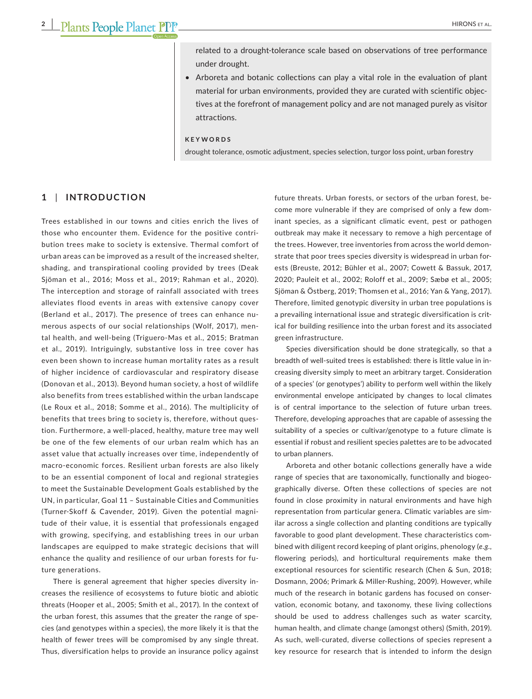## **2 |**  HIRONS et al.

related to a drought-tolerance scale based on observations of tree performance under drought.

• Arboreta and botanic collections can play a vital role in the evaluation of plant material for urban environments, provided they are curated with scientific objectives at the forefront of management policy and are not managed purely as visitor attractions.

#### **KEYWORDS**

drought tolerance, osmotic adjustment, species selection, turgor loss point, urban forestry

#### **1** | **INTRODUCTION**

Trees established in our towns and cities enrich the lives of those who encounter them. Evidence for the positive contribution trees make to society is extensive. Thermal comfort of urban areas can be improved as a result of the increased shelter, shading, and transpirational cooling provided by trees (Deak Sjöman et al., 2016; Moss et al., 2019; Rahman et al., 2020). The interception and storage of rainfall associated with trees alleviates flood events in areas with extensive canopy cover (Berland et al., 2017). The presence of trees can enhance numerous aspects of our social relationships (Wolf, 2017), mental health, and well-being (Triguero-Mas et al., 2015; Bratman et al., 2019). Intriguingly, substantive loss in tree cover has even been shown to increase human mortality rates as a result of higher incidence of cardiovascular and respiratory disease (Donovan et al., 2013). Beyond human society, a host of wildlife also benefits from trees established within the urban landscape (Le Roux et al., 2018; Somme et al., 2016). The multiplicity of benefits that trees bring to society is, therefore, without question. Furthermore, a well-placed, healthy, mature tree may well be one of the few elements of our urban realm which has an asset value that actually increases over time, independently of macro-economic forces. Resilient urban forests are also likely to be an essential component of local and regional strategies to meet the Sustainable Development Goals established by the UN, in particular, Goal 11 – Sustainable Cities and Communities (Turner-Skoff & Cavender, 2019). Given the potential magnitude of their value, it is essential that professionals engaged with growing, specifying, and establishing trees in our urban landscapes are equipped to make strategic decisions that will enhance the quality and resilience of our urban forests for future generations.

There is general agreement that higher species diversity increases the resilience of ecosystems to future biotic and abiotic threats (Hooper et al., 2005; Smith et al., 2017). In the context of the urban forest, this assumes that the greater the range of species (and genotypes within a species), the more likely it is that the health of fewer trees will be compromised by any single threat. Thus, diversification helps to provide an insurance policy against

future threats. Urban forests, or sectors of the urban forest, become more vulnerable if they are comprised of only a few dominant species, as a significant climatic event, pest or pathogen outbreak may make it necessary to remove a high percentage of the trees. However, tree inventories from across the world demonstrate that poor trees species diversity is widespread in urban forests (Breuste, 2012; Bühler et al., 2007; Cowett & Bassuk, 2017, 2020; Pauleit et al., 2002; Roloff et al., 2009; Sæbø et al., 2005; Sjöman & Östberg, 2019; Thomsen et al., 2016; Yan & Yang, 2017). Therefore, limited genotypic diversity in urban tree populations is a prevailing international issue and strategic diversification is critical for building resilience into the urban forest and its associated green infrastructure.

Species diversification should be done strategically, so that a breadth of well-suited trees is established: there is little value in increasing diversity simply to meet an arbitrary target. Consideration of a species' (or genotypes') ability to perform well within the likely environmental envelope anticipated by changes to local climates is of central importance to the selection of future urban trees. Therefore, developing approaches that are capable of assessing the suitability of a species or cultivar/genotype to a future climate is essential if robust and resilient species palettes are to be advocated to urban planners.

Arboreta and other botanic collections generally have a wide range of species that are taxonomically, functionally and biogeographically diverse. Often these collections of species are not found in close proximity in natural environments and have high representation from particular genera. Climatic variables are similar across a single collection and planting conditions are typically favorable to good plant development. These characteristics combined with diligent record keeping of plant origins, phenology (*e.g*., flowering periods), and horticultural requirements make them exceptional resources for scientific research (Chen & Sun, 2018; Dosmann, 2006; Primark & Miller-Rushing, 2009). However, while much of the research in botanic gardens has focused on conservation, economic botany, and taxonomy, these living collections should be used to address challenges such as water scarcity, human health, and climate change (amongst others) (Smith, 2019). As such, well-curated, diverse collections of species represent a key resource for research that is intended to inform the design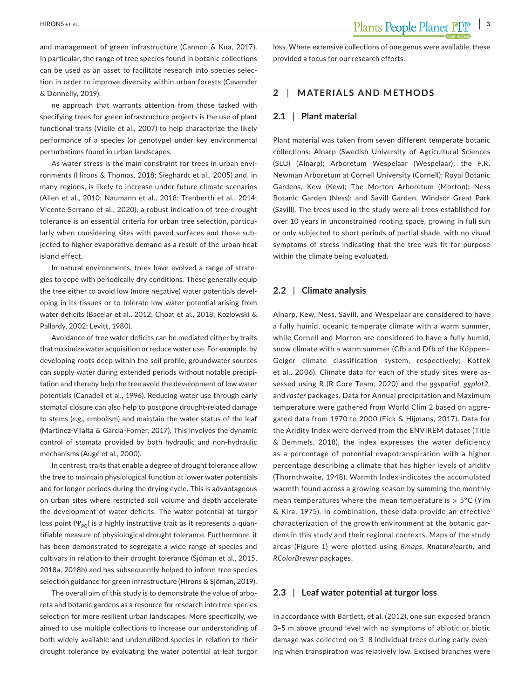**<u>HIRONS ET AL.</u> 3 Plants People Planet PPP** 

and management of green infrastructure (Cannon & Kua, 2017). In particular, the range of tree species found in botanic collections can be used as an asset to facilitate research into species selection in order to improve diversity within urban forests (Cavender & Donnelly, 2019).

ne approach that warrants attention from those tasked with specifying trees for green infrastructure projects is the use of plant functional traits (Violle et al., 2007) to help characterize the likely performance of a species (or genotype) under key environmental perturbations found in urban landscapes.

As water stress is the main constraint for trees in urban environments (Hirons & Thomas, 2018; Sieghardt et al., 2005) and, in many regions, is likely to increase under future climate scenarios (Allen et al., 2010; Naumann et al., 2018; Trenberth et al., 2014; Vicente-Serrano et al., 2020), a robust indication of tree drought tolerance is an essential criteria for urban tree selection, particularly when considering sites with paved surfaces and those subjected to higher evaporative demand as a result of the urban heat island effect.

In natural environments, trees have evolved a range of strategies to cope with periodically dry conditions. These generally equip the tree either to avoid low (more negative) water potentials developing in its tissues or to tolerate low water potential arising from water deficits (Bacelar et al., 2012; Choat et al., 2018; Kozlowski & Pallardy, 2002; Levitt, 1980).

Avoidance of tree water deficits can be mediated either by traits that maximize water acquisition or reduce water use. For example, by developing roots deep within the soil profile, groundwater sources can supply water during extended periods without notable precipitation and thereby help the tree avoid the development of low water potentials (Canadell et al., 1996). Reducing water use through early stomatal closure can also help to postpone drought-related damage to stems (*e.g.,* embolism) and maintain the water status of the leaf (Martínez-Vilalta & Garcia-Forner, 2017). This involves the dynamic control of stomata provided by both hydraulic and non-hydraulic mechanisms (Augé et al., 2000).

In contrast, traits that enable a degree of drought tolerance allow the tree to maintain physiological function at lower water potentials and for longer periods during the drying cycle. This is advantageous on urban sites where restricted soil volume and depth accelerate the development of water deficits. The water potential at turgor loss point  $(\Psi_{\text{p0}})$  is a highly instructive trait as it represents a quantifiable measure of physiological drought tolerance. Furthermore, it has been demonstrated to segregate a wide range of species and cultivars in relation to their drought tolerance (Sjöman et al., 2015, 2018a, 2018b) and has subsequently helped to inform tree species selection guidance for green infrastructure (Hirons & Sjöman, 2019).

The overall aim of this study is to demonstrate the value of arboreta and botanic gardens as a resource for research into tree species selection for more resilient urban landscapes. More specifically, we aimed to use multiple collections to increase our understanding of both widely available and underutilized species in relation to their drought tolerance by evaluating the water potential at leaf turgor loss. Where extensive collections of one genus were available, these provided a focus for our research efforts.

### **2** | **MATERIALS AND METHODS**

#### **2.1** | **Plant material**

Plant material was taken from seven different temperate botanic collections: Alnarp (Swedish University of Agricultural Sciences (SLU) (Alnarp); Arboretum Wespelaar (Wespelaar); the F.R. Newman Arboretum at Cornell University (Cornell); Royal Botanic Gardens, Kew (Kew); The Morton Arboretum (Morton); Ness Botanic Garden (Ness); and Savill Garden, Windsor Great Park (Savill). The trees used in the study were all trees established for over 10 years in unconstrained rooting space, growing in full sun or only subjected to short periods of partial shade, with no visual symptoms of stress indicating that the tree was fit for purpose within the climate being evaluated.

#### **2.2** | **Climate analysis**

Alnarp, Kew, Ness, Savill, and Wespelaar are considered to have a fully humid, oceanic temperate climate with a warm summer, while Cornell and Morton are considered to have a fully humid, snow climate with a warm summer (Cfb and Dfb of the Köppen– Geiger climate classification system, respectively; Kottek et al., 2006). Climate data for each of the study sites were assessed using R (R Core Team, 2020) and the *ggspatial, ggplot2,* and *raster* packages. Data for Annual precipitation and Maximum temperature were gathered from World Clim 2 based on aggregated data from 1970 to 2000 (Fick & Hijmans, 2017). Data for the Aridity Index were derived from the ENVIREM dataset (Title & Bemmels, 2018), the index expresses the water deficiency as a percentage of potential evapotranspiration with a higher percentage describing a climate that has higher levels of aridity (Thornthwaite, 1948). Warmth Index indicates the accumulated warmth found across a growing season by summing the monthly mean temperatures where the mean temperature is  $> 5^{\circ}$ C (Yim & Kira, 1975). In combination, these data provide an effective characterization of the growth environment at the botanic gardens in this study and their regional contexts. Maps of the study areas (Figure 1) were plotted using *Rmaps, Rnaturalearth,* and *RColorBrewer* packages.

### **2.3** | **Leaf water potential at turgor loss**

In accordance with Bartlett, et al. (2012), one sun exposed branch 3–5 m above ground level with no symptoms of abiotic or biotic damage was collected on 3–8 individual trees during early evening when transpiration was relatively low. Excised branches were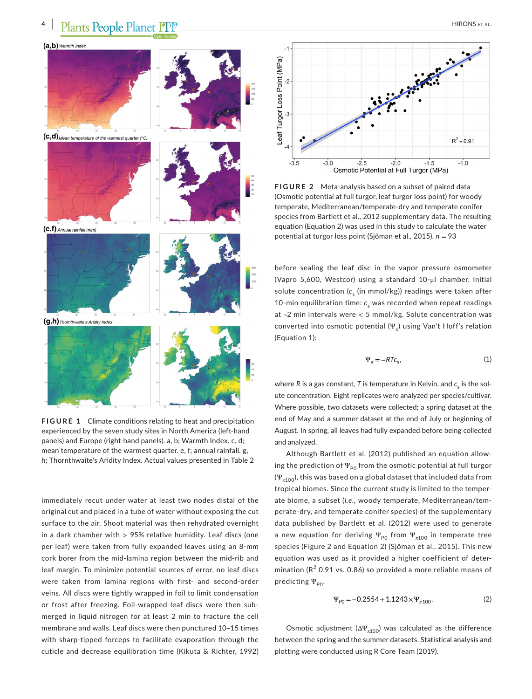

**FIGURE 1** Climate conditions relating to heat and precipitation experienced by the seven study sites in North America (left-hand panels) and Europe (right-hand panels). a, b; Warmth Index. c, d; mean temperature of the warmest quarter. e, f; annual rainfall. g, h; Thornthwaite's Aridity Index. Actual values presented in Table 2

immediately recut under water at least two nodes distal of the original cut and placed in a tube of water without exposing the cut surface to the air. Shoot material was then rehydrated overnight in a dark chamber with  $> 95\%$  relative humidity. Leaf discs (one per leaf) were taken from fully expanded leaves using an 8-mm cork borer from the mid-lamina region between the mid-rib and leaf margin. To minimize potential sources of error, no leaf discs were taken from lamina regions with first- and second-order veins. All discs were tightly wrapped in foil to limit condensation or frost after freezing. Foil-wrapped leaf discs were then submerged in liquid nitrogen for at least 2 min to fracture the cell membrane and walls. Leaf discs were then punctured 10–15 times with sharp-tipped forceps to facilitate evaporation through the cuticle and decrease equilibration time (Kikuta & Richter, 1992)



**FIGURE 2** Meta-analysis based on a subset of paired data (Osmotic potential at full turgor, leaf turgor loss point) for woody temperate, Mediterranean/temperate-dry and temperate conifer species from Bartlett et al., 2012 supplementary data. The resulting equation (Equation 2) was used in this study to calculate the water potential at turgor loss point (Sjöman et al., 2015). *n* = 93

before sealing the leaf disc in the vapor pressure osmometer (Vapro 5,600, Westcor) using a standard 10-μl chamber. Initial solute concentration (c<sub>s</sub> (in mmol/kg)) readings were taken after 10-min equilibration time:  $c_{\rm s}$  was recorded when repeat readings at ~2 min intervals were < 5 mmol/kg. Solute concentration was converted into osmotic potential (Ψ<sub>π</sub>) using Van't Hoff's relation (Equation 1):

$$
\Psi_{\pi} = -RTc_{s},\tag{1}
$$

where  $R$  is a gas constant,  $T$  is temperature in Kelvin, and  $c_{_{\mathrm{S}}}$  is the solute concentration. Eight replicates were analyzed per species/cultivar. Where possible, two datasets were collected; a spring dataset at the end of May and a summer dataset at the end of July or beginning of August. In spring, all leaves had fully expanded before being collected and analyzed.

Although Bartlett et al. (2012) published an equation allowing the prediction of  $\Psi_{\mathsf{p}_0}$  from the osmotic potential at full turgor  $(\Psi_{\pi100})$ , this was based on a global dataset that included data from tropical biomes. Since the current study is limited to the temperate biome, a subset (*i.e.,* woody temperate, Mediterranean/temperate-dry, and temperate conifer species) of the supplementary data published by Bartlett et al. (2012) were used to generate a new equation for deriving  $\Psi_{\mathsf{p}_0}$  from  $\Psi_{\pi100}$  in temperate tree species (Figure 2 and Equation 2) (Sjöman et al., 2015). This new equation was used as it provided a higher coefficient of determination ( $R^2$  0.91 vs. 0.86) so provided a more reliable means of predicting  $\Psi_{\text{p0}}$ .

$$
\Psi_{P0} = -0.2554 + 1.1243 \times \Psi_{\pi 100}.
$$
 (2)

Osmotic adjustment ( $\Delta \Psi_{\pi 100}$ ) was calculated as the difference between the spring and the summer datasets. Statistical analysis and plotting were conducted using R Core Team (2019).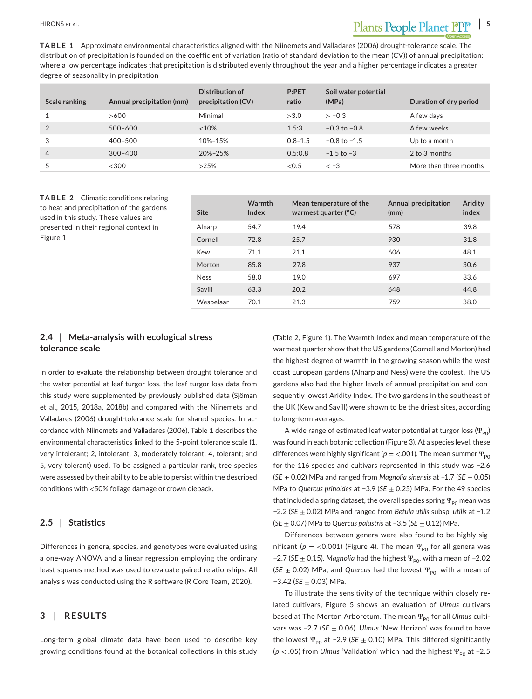**TABLE 1** Approximate environmental characteristics aligned with the Niinemets and Valladares (2006) drought-tolerance scale. The distribution of precipitation is founded on the coefficient of variation (ratio of standard deviation to the mean (CV)) of annual precipitation: where a low percentage indicates that precipitation is distributed evenly throughout the year and a higher percentage indicates a greater degree of seasonality in precipitation

| <b>Scale ranking</b> | Annual precipitation (mm) | Distribution of<br>precipitation (CV) | P:PET<br>ratio | Soil water potential<br>(MPa) | Duration of dry period |
|----------------------|---------------------------|---------------------------------------|----------------|-------------------------------|------------------------|
|                      | >600                      | Minimal                               | >3.0           | $>-0.3$                       | A few days             |
| $\overline{2}$       | $500 - 600$               | $< 10\%$                              | 1.5:3          | $-0.3$ to $-0.8$              | A few weeks            |
| 3                    | 400-500                   | 10%-15%                               | $0.8 - 1.5$    | $-0.8$ to $-1.5$              | Up to a month          |
| $\overline{4}$       | $300 - 400$               | 20%-25%                               | 0.5:0.8        | $-1.5$ to $-3$                | 2 to 3 months          |
|                      | $<$ 300                   | >25%                                  | < 0.5          | $<-3$                         | More than three months |

**TABLE 2** Climatic conditions relating to heat and precipitation of the gardens used in this study. These values are presented in their regional context in Figure 1

| <b>Site</b> | Warmth<br>Index | Mean temperature of the<br>warmest quarter $(°C)$ | <b>Annual precipitation</b><br>(mm) | Aridity<br>index |
|-------------|-----------------|---------------------------------------------------|-------------------------------------|------------------|
| Alnarp      | 54.7            | 19.4                                              | 578                                 | 39.8             |
| Cornell     | 72.8            | 25.7                                              | 930                                 | 31.8             |
| Kew         | 71.1            | 21.1                                              | 606                                 | 48.1             |
| Morton      | 85.8            | 27.8                                              | 937                                 | 30.6             |
| <b>Ness</b> | 58.0            | 19.0                                              | 697                                 | 33.6             |
| Savill      | 63.3            | 20.2                                              | 648                                 | 44.8             |
| Wespelaar   | 70.1            | 21.3                                              | 759                                 | 38.0             |

## **2.4** | **Meta-analysis with ecological stress tolerance scale**

In order to evaluate the relationship between drought tolerance and the water potential at leaf turgor loss, the leaf turgor loss data from this study were supplemented by previously published data (Sjöman et al., 2015, 2018a, 2018b) and compared with the Niinemets and Valladares (2006) drought-tolerance scale for shared species. In accordance with Niinemets and Valladares (2006), Table 1 describes the environmental characteristics linked to the 5-point tolerance scale (1, very intolerant; 2, intolerant; 3, moderately tolerant; 4, tolerant; and 5, very tolerant) used. To be assigned a particular rank, tree species were assessed by their ability to be able to persist within the described conditions with <50% foliage damage or crown dieback.

#### **2.5** | **Statistics**

Differences in genera, species, and genotypes were evaluated using a one-way ANOVA and a linear regression employing the ordinary least squares method was used to evaluate paired relationships. All analysis was conducted using the R software (R Core Team, 2020).

### **3** | **RESULTS**

Long-term global climate data have been used to describe key growing conditions found at the botanical collections in this study (Table 2, Figure 1). The Warmth Index and mean temperature of the warmest quarter show that the US gardens (Cornell and Morton) had the highest degree of warmth in the growing season while the west coast European gardens (Alnarp and Ness) were the coolest. The US gardens also had the higher levels of annual precipitation and consequently lowest Aridity Index. The two gardens in the southeast of the UK (Kew and Savill) were shown to be the driest sites, according to long-term averages.

A wide range of estimated leaf water potential at turgor loss ( $\Psi_{\text{p0}}$ ) was found in each botanic collection (Figure 3). At a species level, these differences were highly significant ( $p = < .001$ ). The mean summer  $\Psi_{\text{po}}$ for the 116 species and cultivars represented in this study was −2.6 (*SE* ± 0.02) MPa and ranged from *Magnolia sinensis* at −1.7 (*SE* ± 0.05) MPa to *Quercus prinoides* at −3.9 (*SE* ± 0.25) MPa. For the 49 species that included a spring dataset, the overall species spring  $\Psi_{\text{p}_0}$  mean was −2.2 (*SE* ± 0.02) MPa and ranged from *Betula utilis* subsp. *utilis* at −1.2 (*SE* ± 0.07) MPa to *Quercus palustris* at −3.5 (*SE* ± 0.12) MPa.

Differences between genera were also found to be highly significant ( $p = < 0.001$ ) (Figure 4). The mean  $\Psi_{p0}$  for all genera was  $-2.7$  (*SE* ± 0.15). *Magnolia* had the highest Ψ<sub>P0</sub>, with a mean of −2.02 (SE  $\pm$  0.02) MPa, and *Quercus* had the lowest  $\Psi_{\text{p}_0}$ , with a mean of −3.42 (*SE* ± 0.03) MPa.

To illustrate the sensitivity of the technique within closely related cultivars, Figure 5 shows an evaluation of *Ulmus* cultivars based at The Morton Arboretum. The mean Ψ<sub>P0</sub> for all *Ulmus* cultivars was −2.7 (*SE* ± 0.06). *Ulmus* 'New Horizon' was found to have the lowest  $\Psi_{\text{p}_0}$  at −2.9 (*SE*  $\pm$  0.10) MPa. This differed significantly (*p* < .05) from *Ulmus* 'Validation' which had the highest  $\Psi_{\text{po}}$  at −2.5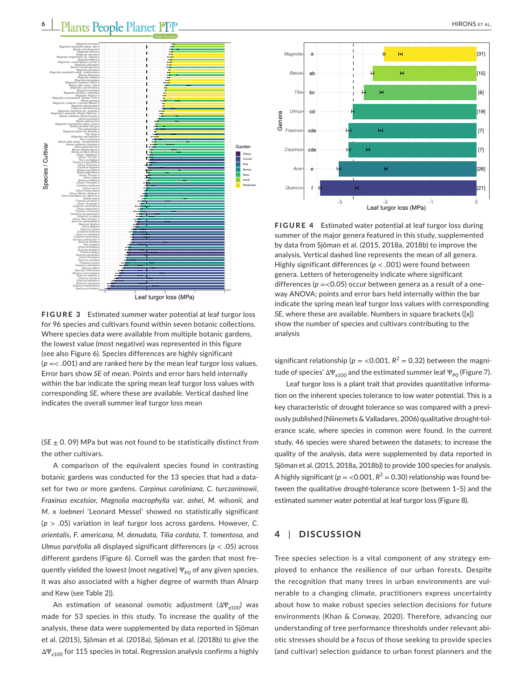## **6 |**  HIRONS et al.



**FIGURE 3** Estimated summer water potential at leaf turgor loss for 96 species and cultivars found within seven botanic collections. Where species data were available from multiple botanic gardens, the lowest value (most negative) was represented in this figure (see also Figure 6). Species differences are highly significant  $(p = 0.001)$  and are ranked here by the mean leaf turgor loss values. Error bars show *SE* of mean. Points and error bars held internally within the bar indicate the spring mean leaf turgor loss values with corresponding *SE*, where these are available. Vertical dashed line indicates the overall summer leaf turgor loss mean

 $(SE \pm 0.09)$  MPa but was not found to be statistically distinct from the other cultivars.

A comparison of the equivalent species found in contrasting botanic gardens was conducted for the 13 species that had a dataset for two or more gardens. *Carpinus caroliniana, C. turczaninowii, Fraxinus excelsior, Magnolia macrophylla* var. *ashei, M. wilsonii,* and *M*. x *loebneri* 'Leonard Messel' showed no statistically significant (*p* > .05) variation in leaf turgor loss across gardens. However, *C. orientalis, F. americana, M. denudata, Tilia cordata, T. tomentosa,* and *Ulmus parvifolia* all displayed significant differences (*p* < .05) across different gardens (Figure 6). Cornell was the garden that most frequently yielded the lowest (most negative)  $\Psi_{\text{p}0}$  of any given species, it was also associated with a higher degree of warmth than Alnarp and Kew (see Table 2)).

An estimation of seasonal osmotic adjustment  $(\Delta\Psi_{\pi100})$  was made for 53 species in this study. To increase the quality of the analysis, these data were supplemented by data reported in Sjöman et al. (2015), Sjöman et al. (2018a), Sjöman et al. (2018b) to give the  $\Delta\Psi_{\pi100}$  for 115 species in total. Regression analysis confirms a highly



**FIGURE 4** Estimated water potential at leaf turgor loss during summer of the major genera featured in this study, supplemented by data from Sjöman et al. (2015, 2018a, 2018b) to improve the analysis. Vertical dashed line represents the mean of all genera. Highly significant differences (*p* < .001) were found between genera. Letters of heterogeneity indicate where significant differences ( $p = < 0.05$ ) occur between genera as a result of a oneway ANOVA; points and error bars held internally within the bar indicate the spring mean leaf turgor loss values with corresponding *SE*, where these are available. Numbers in square brackets ([x]) show the number of species and cultivars contributing to the analysis

significant relationship ( $p = < 0.001$ ,  $R^2 = 0.32$ ) between the magnitude of species'  $\Delta\Psi_{\pi100}$  and the estimated summer leaf  $\Psi_{\text{p}_0}$  (Figure 7).

Leaf turgor loss is a plant trait that provides quantitative information on the inherent species tolerance to low water potential. This is a key characteristic of drought tolerance so was compared with a previously published (Niinemets & Valladares, 2006) qualitative drought-tolerance scale, where species in common were found. In the current study, 46 species were shared between the datasets; to increase the quality of the analysis, data were supplemented by data reported in Sjöman et al. (2015, 2018a, 2018b)) to provide 100 species for analysis. A highly significant ( $p = < 0.001$ ,  $R^2 = 0.30$ ) relationship was found between the qualitative drought-tolerance score (between 1–5) and the estimated summer water potential at leaf turgor loss (Figure 8).

## **4** | **DISCUSSION**

Tree species selection is a vital component of any strategy employed to enhance the resilience of our urban forests. Despite the recognition that many trees in urban environments are vulnerable to a changing climate, practitioners express uncertainty about how to make robust species selection decisions for future environments (Khan & Conway, 2020). Therefore, advancing our understanding of tree performance thresholds under relevant abiotic stresses should be a focus of those seeking to provide species (and cultivar) selection guidance to urban forest planners and the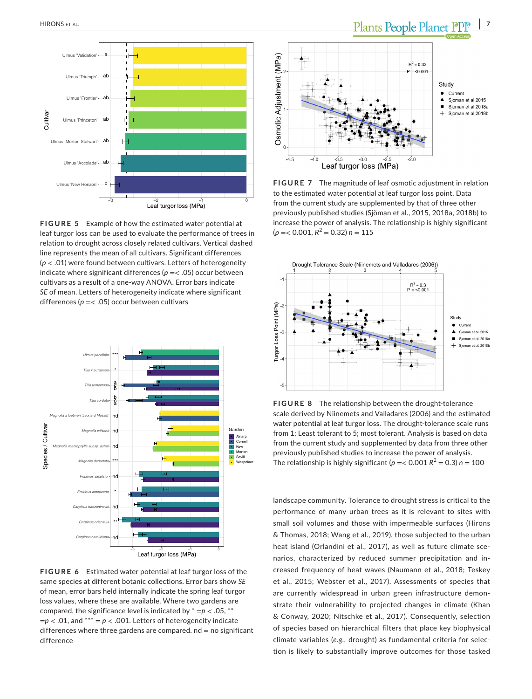

**FIGURE 5** Example of how the estimated water potential at leaf turgor loss can be used to evaluate the performance of trees in relation to drought across closely related cultivars. Vertical dashed line represents the mean of all cultivars. Significant differences (*p* < .01) were found between cultivars. Letters of heterogeneity indicate where significant differences ( $p = < .05$ ) occur between cultivars as a result of a one-way ANOVA. Error bars indicate *SE* of mean. Letters of heterogeneity indicate where significant differences (*p* =< .05) occur between cultivars



**FIGURE 6** Estimated water potential at leaf turgor loss of the same species at different botanic collections. Error bars show *SE* of mean, error bars held internally indicate the spring leaf turgor loss values, where these are available. Where two gardens are compared, the significance level is indicated by  $* = p < .05$ ,  $**$  $=p$  < .01, and \*\*\* =  $p$  < .001. Letters of heterogeneity indicate differences where three gardens are compared.  $nd = no$  significant difference



**FIGURE 7** The magnitude of leaf osmotic adjustment in relation to the estimated water potential at leaf turgor loss point. Data from the current study are supplemented by that of three other previously published studies (Sjöman et al., 2015, 2018a, 2018b) to increase the power of analysis. The relationship is highly significant  $(p = 0.001, R^2 = 0.32) n = 115$ 



**FIGURE 8** The relationship between the drought-tolerance scale derived by Niinemets and Valladares (2006) and the estimated water potential at leaf turgor loss. The drought-tolerance scale runs from 1; Least tolerant to 5; most tolerant. Analysis is based on data from the current study and supplemented by data from three other previously published studies to increase the power of analysis. The relationship is highly significant ( $p = < 0.001 R^2 = 0.3$ )  $n = 100$ 

landscape community. Tolerance to drought stress is critical to the performance of many urban trees as it is relevant to sites with small soil volumes and those with impermeable surfaces (Hirons & Thomas, 2018; Wang et al., 2019), those subjected to the urban heat island (Orlandini et al., 2017), as well as future climate scenarios, characterized by reduced summer precipitation and increased frequency of heat waves (Naumann et al., 2018; Teskey et al., 2015; Webster et al., 2017). Assessments of species that are currently widespread in urban green infrastructure demonstrate their vulnerability to projected changes in climate (Khan & Conway, 2020; Nitschke et al., 2017). Consequently, selection of species based on hierarchical filters that place key biophysical climate variables (*e.g.,* drought) as fundamental criteria for selection is likely to substantially improve outcomes for those tasked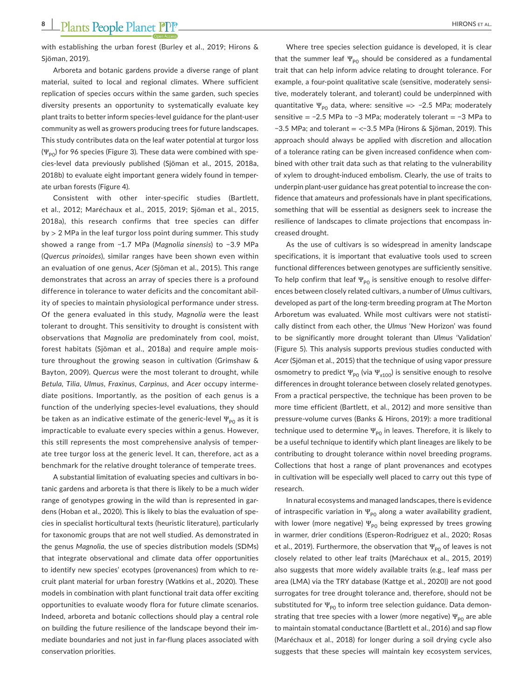with establishing the urban forest (Burley et al., 2019; Hirons & Sjöman, 2019).

Arboreta and botanic gardens provide a diverse range of plant material, suited to local and regional climates. Where sufficient replication of species occurs within the same garden, such species diversity presents an opportunity to systematically evaluate key plant traits to better inform species-level guidance for the plant-user community as well as growers producing trees for future landscapes. This study contributes data on the leaf water potential at turgor loss ( $\Psi_{\text{p0}}$ ) for 96 species (Figure 3). These data were combined with species-level data previously published (Sjöman et al., 2015, 2018a, 2018b) to evaluate eight important genera widely found in temperate urban forests (Figure 4).

Consistent with other inter-specific studies (Bartlett, et al., 2012; Maréchaux et al., 2015, 2019; Sjöman et al., 2015, 2018a), this research confirms that tree species can differ by > 2 MPa in the leaf turgor loss point during summer. This study showed a range from −1.7 MPa (*Magnolia sinensis*) to −3.9 MPa (*Quercus prinoides*), similar ranges have been shown even within an evaluation of one genus, *Acer* (Sjöman et al., 2015). This range demonstrates that across an array of species there is a profound difference in tolerance to water deficits and the concomitant ability of species to maintain physiological performance under stress. Of the genera evaluated in this study, *Magnolia* were the least tolerant to drought. This sensitivity to drought is consistent with observations that *Magnolia* are predominately from cool, moist, forest habitats (Sjöman et al., 2018a) and require ample moisture throughout the growing season in cultivation (Grimshaw & Bayton, 2009). *Quercus* were the most tolerant to drought, while *Betula, Tilia, Ulmus, Fraxinus, Carpinus,* and *Acer* occupy intermediate positions. Importantly, as the position of each genus is a function of the underlying species-level evaluations, they should be taken as an indicative estimate of the generic-level  $\Psi_{\rho_0}$  as it is impracticable to evaluate every species within a genus. However, this still represents the most comprehensive analysis of temperate tree turgor loss at the generic level. It can, therefore, act as a benchmark for the relative drought tolerance of temperate trees.

A substantial limitation of evaluating species and cultivars in botanic gardens and arboreta is that there is likely to be a much wider range of genotypes growing in the wild than is represented in gardens (Hoban et al., 2020). This is likely to bias the evaluation of species in specialist horticultural texts (heuristic literature), particularly for taxonomic groups that are not well studied. As demonstrated in the genus *Magnolia*, the use of species distribution models (SDMs) that integrate observational and climate data offer opportunities to identify new species' ecotypes (provenances) from which to recruit plant material for urban forestry (Watkins et al., 2020). These models in combination with plant functional trait data offer exciting opportunities to evaluate woody flora for future climate scenarios. Indeed, arboreta and botanic collections should play a central role on building the future resilience of the landscape beyond their immediate boundaries and not just in far-flung places associated with conservation priorities.

Where tree species selection guidance is developed, it is clear that the summer leaf  $\Psi_{\rho 0}$  should be considered as a fundamental trait that can help inform advice relating to drought tolerance. For example, a four-point qualitative scale (sensitive, moderately sensitive, moderately tolerant, and tolerant) could be underpinned with quantitative  $\Psi_{\text{p}_0}$  data, where: sensitive => -2.5 MPa; moderately sensitive = −2.5 MPa to −3 MPa; moderately tolerant = −3 MPa to −3.5 MPa; and tolerant = <−3.5 MPa (Hirons & Sjöman, 2019). This approach should always be applied with discretion and allocation of a tolerance rating can be given increased confidence when combined with other trait data such as that relating to the vulnerability of xylem to drought-induced embolism. Clearly, the use of traits to underpin plant-user guidance has great potential to increase the confidence that amateurs and professionals have in plant specifications, something that will be essential as designers seek to increase the resilience of landscapes to climate projections that encompass increased drought.

As the use of cultivars is so widespread in amenity landscape specifications, it is important that evaluative tools used to screen functional differences between genotypes are sufficiently sensitive. To help confirm that leaf  $\Psi_{p_0}$  is sensitive enough to resolve differences between closely related cultivars, a number of *Ulmus* cultivars, developed as part of the long-term breeding program at The Morton Arboretum was evaluated. While most cultivars were not statistically distinct from each other, the *Ulmus* 'New Horizon' was found to be significantly more drought tolerant than *Ulmus* 'Validation' (Figure 5). This analysis supports previous studies conducted with *Acer* (Sjöman et al., 2015) that the technique of using vapor pressure osmometry to predict  $\Psi_{p_0}$  (via  $\Psi_{\pi 100}$ ) is sensitive enough to resolve differences in drought tolerance between closely related genotypes. From a practical perspective, the technique has been proven to be more time efficient (Bartlett, et al., 2012) and more sensitive than pressure-volume curves (Banks & Hirons, 2019): a more traditional technique used to determine  $\Psi_{\rho_0}$  in leaves. Therefore, it is likely to be a useful technique to identify which plant lineages are likely to be contributing to drought tolerance within novel breeding programs. Collections that host a range of plant provenances and ecotypes in cultivation will be especially well placed to carry out this type of research.

In natural ecosystems and managed landscapes, there is evidence of intraspecific variation in  $\Psi_{\text{p}_0}$  along a water availability gradient, with lower (more negative)  $\Psi_{p0}$  being expressed by trees growing in warmer, drier conditions (Esperon-Rodriguez et al., 2020; Rosas et al., 2019). Furthermore, the observation that  $\Psi_{\text{p}_0}$  of leaves is not closely related to other leaf traits (Maréchaux et al., 2015, 2019) also suggests that more widely available traits (e.g., leaf mass per area (LMA) via the TRY database (Kattge et al., 2020)) are not good surrogates for tree drought tolerance and, therefore, should not be substituted for  $\Psi_{\text{p}_0}$  to inform tree selection guidance. Data demonstrating that tree species with a lower (more negative)  $\Psi_{\text{p}_0}$  are able to maintain stomatal conductance (Bartlett et al., 2016) and sap flow (Maréchaux et al., 2018) for longer during a soil drying cycle also suggests that these species will maintain key ecosystem services,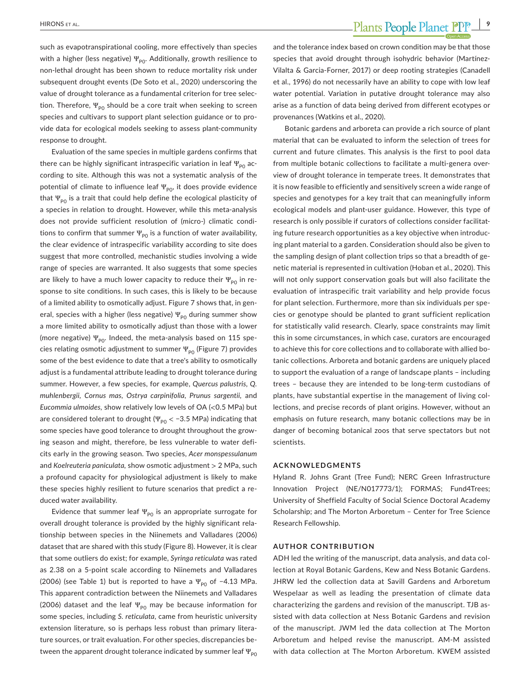such as evapotranspirational cooling, more effectively than species with a higher (less negative)  $\Psi_{\text{p}o}$ . Additionally, growth resilience to non-lethal drought has been shown to reduce mortality risk under subsequent drought events (De Soto et al., 2020) underscoring the value of drought tolerance as a fundamental criterion for tree selection. Therefore,  $\Psi_{\text{p}_0}$  should be a core trait when seeking to screen species and cultivars to support plant selection guidance or to provide data for ecological models seeking to assess plant-community response to drought.

Evaluation of the same species in multiple gardens confirms that there can be highly significant intraspecific variation in leaf  $\Psi_{\rho_0}$  according to site. Although this was not a systematic analysis of the potential of climate to influence leaf  $\Psi_{\text{p}0}$ , it does provide evidence that  $\Psi_{\text{po}}$  is a trait that could help define the ecological plasticity of a species in relation to drought. However, while this meta-analysis does not provide sufficient resolution of (micro-) climatic conditions to confirm that summer  $\Psi_{\text{po}}$  is a function of water availability, the clear evidence of intraspecific variability according to site does suggest that more controlled, mechanistic studies involving a wide range of species are warranted. It also suggests that some species are likely to have a much lower capacity to reduce their  $\Psi_{pq}$  in response to site conditions. In such cases, this is likely to be because of a limited ability to osmotically adjust. Figure 7 shows that, in general, species with a higher (less negative)  $\Psi_{\text{p}0}$  during summer show a more limited ability to osmotically adjust than those with a lower (more negative)  $\Psi_{\text{po}}$ . Indeed, the meta-analysis based on 115 species relating osmotic adjustment to summer  $\Psi_{\text{p}_0}$  (Figure 7) provides some of the best evidence to date that a tree's ability to osmotically adjust is a fundamental attribute leading to drought tolerance during summer. However, a few species, for example, *Quercus palustris, Q. muhlenbergii, Cornus mas, Ostrya carpinifolia, Prunus sargentii,* and *Eucommia ulmoides,* show relatively low levels of OA (<0.5 MPa) but are considered tolerant to drought ( $\Psi_{\text{p}_0}$  < -3.5 MPa) indicating that some species have good tolerance to drought throughout the growing season and might, therefore, be less vulnerable to water deficits early in the growing season. Two species, *Acer monspessulanum* and *Koelreuteria paniculata,* show osmotic adjustment > 2 MPa, such a profound capacity for physiological adjustment is likely to make these species highly resilient to future scenarios that predict a reduced water availability.

Evidence that summer leaf  $\Psi_{\text{PO}}$  is an appropriate surrogate for overall drought tolerance is provided by the highly significant relationship between species in the Niinemets and Valladares (2006) dataset that are shared with this study (Figure 8). However, it is clear that some outliers do exist; for example, *Syringa reticulata* was rated as 2.38 on a 5-point scale according to Niinemets and Valladares (2006) (see Table 1) but is reported to have a  $\Psi_{\text{PO}}$  of −4.13 MPa. This apparent contradiction between the Niinemets and Valladares (2006) dataset and the leaf  $\Psi_{\text{p}_0}$  may be because information for some species, including *S. reticulata*, came from heuristic university extension literature, so is perhaps less robust than primary literature sources, or trait evaluation. For other species, discrepancies between the apparent drought tolerance indicated by summer leaf  $\Psi_{\text{PO}}$  and the tolerance index based on crown condition may be that those species that avoid drought through isohydric behavior (Martínez-Vilalta & Garcia-Forner, 2017) or deep rooting strategies (Canadell et al., 1996) do not necessarily have an ability to cope with low leaf water potential. Variation in putative drought tolerance may also arise as a function of data being derived from different ecotypes or provenances (Watkins et al., 2020).

Botanic gardens and arboreta can provide a rich source of plant material that can be evaluated to inform the selection of trees for current and future climates. This analysis is the first to pool data from multiple botanic collections to facilitate a multi-genera overview of drought tolerance in temperate trees. It demonstrates that it is now feasible to efficiently and sensitively screen a wide range of species and genotypes for a key trait that can meaningfully inform ecological models and plant-user guidance. However, this type of research is only possible if curators of collections consider facilitating future research opportunities as a key objective when introducing plant material to a garden. Consideration should also be given to the sampling design of plant collection trips so that a breadth of genetic material is represented in cultivation (Hoban et al., 2020). This will not only support conservation goals but will also facilitate the evaluation of intraspecific trait variability and help provide focus for plant selection. Furthermore, more than six individuals per species or genotype should be planted to grant sufficient replication for statistically valid research. Clearly, space constraints may limit this in some circumstances, in which case, curators are encouraged to achieve this for core collections and to collaborate with allied botanic collections. Arboreta and botanic gardens are uniquely placed to support the evaluation of a range of landscape plants – including trees – because they are intended to be long-term custodians of plants, have substantial expertise in the management of living collections, and precise records of plant origins. However, without an emphasis on future research, many botanic collections may be in danger of becoming botanical zoos that serve spectators but not scientists.

#### **ACKNOWLEDGMENTS**

Hyland R. Johns Grant (Tree Fund); NERC Green Infrastructure Innovation Project (NE/N017773/1); FORMAS; Fund4Trees; University of Sheffield Faculty of Social Science Doctoral Academy Scholarship; and The Morton Arboretum – Center for Tree Science Research Fellowship.

#### **AUTHOR CONTRIBUTION**

ADH led the writing of the manuscript, data analysis, and data collection at Royal Botanic Gardens, Kew and Ness Botanic Gardens. JHRW led the collection data at Savill Gardens and Arboretum Wespelaar as well as leading the presentation of climate data characterizing the gardens and revision of the manuscript. TJB assisted with data collection at Ness Botanic Gardens and revision of the manuscript. JWM led the data collection at The Morton Arboretum and helped revise the manuscript. AM-M assisted with data collection at The Morton Arboretum. KWEM assisted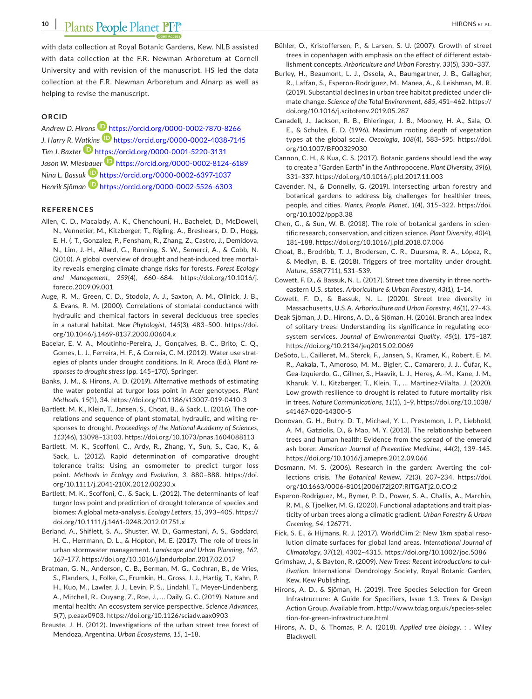## **10 Plants People Planet PPP**

with data collection at Royal Botanic Gardens, Kew. NLB assisted with data collection at the F.R. Newman Arboretum at Cornell University and with revision of the manuscript. HS led the data collection at the F.R. Newman Arboretum and Alnarp as well as helping to revise the manuscript.

#### **ORCID**

*Andrew D. Hirons* <https://orcid.org/0000-0002-7870-8266> *J. Harry R. [Watkin](https://orcid.org/0000-0001-5220-3131)s* <https://orcid.org/0000-0002-4038-7145> *Tim J. Baxter* <https://orcid.org/0000-0001-5220-3131> *Jason W. Mies[bauer](https://orcid.org/0000-0002-6397-1037)* <https://orcid.org/0000-0002-8124-6189> *Nina L. Bassuk* <https://orcid.org/0000-0002-6397-1037> *Henrik Sjöman* <https://orcid.org/0000-0002-5526-6303>

#### **REFERENCES**

- Allen, C. D., Macalady, A. K., Chenchouni, H., Bachelet, D., McDowell, N., Vennetier, M., Kitzberger, T., Rigling, A., Breshears, D. D., Hogg, E. H. (. T., Gonzalez, P., Fensham, R., Zhang, Z., Castro, J., Demidova, N., Lim, J.-H., Allard, G., Running, S. W., Semerci, A., & Cobb, N. (2010). A global overview of drought and heat-induced tree mortality reveals emerging climate change risks for forests. *Forest Ecology and Management*, *259*(4), 660–684. [https://doi.org/10.1016/j.](https://doi.org/10.1016/j.foreco.2009.09.001) [foreco.2009.09.001](https://doi.org/10.1016/j.foreco.2009.09.001)
- Auge, R. M., Green, C. D., Stodola, A. J., Saxton, A. M., Olinick, J. B., & Evans, R. M. (2000). Correlations of stomatal conductance with hydraulic and chemical factors in several deciduous tree species in a natural habitat. *New Phytologist*, *145*(3), 483–500. [https://doi.](https://doi.org/10.1046/j.1469-8137.2000.00604.x) [org/10.1046/j.1469-8137.2000.00604.x](https://doi.org/10.1046/j.1469-8137.2000.00604.x)
- Bacelar, E. V. A., Moutinho-Pereira, J., Gonçalves, B. C., Brito, C. Q., Gomes, L. J., Ferreira, H. F., & Correia, C. M. (2012). Water use strategies of plants under drought conditions. In R. Aroca (Ed.), *Plant responses to drought stress* (pp. 145–170). Springer.
- Banks, J. M., & Hirons, A. D. (2019). Alternative methods of estimating the water potential at turgor loss point in Acer genotypes. *Plant Methods*, *15*(1), 34. <https://doi.org/10.1186/s13007-019-0410-3>
- Bartlett, M. K., Klein, T., Jansen, S., Choat, B., & Sack, L. (2016). The correlations and sequence of plant stomatal, hydraulic, and wilting responses to drought. *Proceedings of the National Academy of Sciences*, *113*(46), 13098–13103. <https://doi.org/10.1073/pnas.1604088113>
- Bartlett, M. K., Scoffoni, C., Ardy, R., Zhang, Y., Sun, S., Cao, K., & Sack, L. (2012). Rapid determination of comparative drought tolerance traits: Using an osmometer to predict turgor loss point. *Methods in Ecology and Evolution*, *3*, 880–888. [https://doi.](https://doi.org/10.1111/j.2041-210X.2012.00230.x) [org/10.1111/j.2041-210X.2012.00230.x](https://doi.org/10.1111/j.2041-210X.2012.00230.x)
- Bartlett, M. K., Scoffoni, C., & Sack, L. (2012). The determinants of leaf turgor loss point and prediction of drought tolerance of species and biomes: A global meta-analysis. *Ecology Letters*, *15*, 393–405. [https://](https://doi.org/10.1111/j.1461-0248.2012.01751.x) [doi.org/10.1111/j.1461-0248.2012.01751.x](https://doi.org/10.1111/j.1461-0248.2012.01751.x)
- Berland, A., Shiflett, S. A., Shuster, W. D., Garmestani, A. S., Goddard, H. C., Herrmann, D. L., & Hopton, M. E. (2017). The role of trees in urban stormwater management. *Landscape and Urban Planning*, *162*, 167–177. <https://doi.org/10.1016/j.landurbplan.2017.02.017>
- Bratman, G. N., Anderson, C. B., Berman, M. G., Cochran, B., de Vries, S., Flanders, J., Folke, C., Frumkin, H., Gross, J. J., Hartig, T., Kahn, P. H., Kuo, M., Lawler, J. J., Levin, P. S., Lindahl, T., Meyer-Lindenberg, A., Mitchell, R., Ouyang, Z., Roe, J., … Daily, G. C. (2019). Nature and mental health: An ecosystem service perspective. *Science Advances*, *5*(7), p.eaax0903. <https://doi.org/10.1126/sciadv.aax0903>
- Breuste, J. H. (2012). Investigations of the urban street tree forest of Mendoza, Argentina. *Urban Ecosystems*, *15*, 1–18.
- Bühler, O., Kristoffersen, P., & Larsen, S. U. (2007). Growth of street trees in copenhagen with emphasis on the effect of different establishment concepts. *Arboriculture and Urban Forestry*, *33*(5), 330–337.
- Burley, H., Beaumont, L. J., Ossola, A., Baumgartner, J. B., Gallagher, R., Laffan, S., Esperon-Rodriguez, M., Manea, A., & Leishman, M. R. (2019). Substantial declines in urban tree habitat predicted under climate change. *Science of the Total Environment*, *685*, 451–462. [https://](https://doi.org/10.1016/j.scitotenv.2019.05.287) [doi.org/10.1016/j.scitotenv.2019.05.287](https://doi.org/10.1016/j.scitotenv.2019.05.287)
- Canadell, J., Jackson, R. B., Ehleringer, J. B., Mooney, H. A., Sala, O. E., & Schulze, E. D. (1996). Maximum rooting depth of vegetation types at the global scale. *Oecologia*, *108*(4), 583–595. [https://doi.](https://doi.org/10.1007/BF00329030) [org/10.1007/BF00329030](https://doi.org/10.1007/BF00329030)
- Cannon, C. H., & Kua, C. S. (2017). Botanic gardens should lead the way to create a "Garden Earth" in the Anthropocene. *Plant Diversity*, *39*(6), 331–337. <https://doi.org/10.1016/j.pld.2017.11.003>
- Cavender, N., & Donnelly, G. (2019). Intersecting urban forestry and botanical gardens to address big challenges for healthier trees, people, and cities. *Plants, People, Planet*, *1*(4), 315–322. [https://doi.](https://doi.org/10.1002/ppp3.38) [org/10.1002/ppp3.38](https://doi.org/10.1002/ppp3.38)
- Chen, G., & Sun, W. B. (2018). The role of botanical gardens in scientific research, conservation, and citizen science. *Plant Diversity*, *40*(4), 181–188. <https://doi.org/10.1016/j.pld.2018.07.006>
- Choat, B., Brodribb, T. J., Brodersen, C. R., Duursma, R. A., López, R., & Medlyn, B. E. (2018). Triggers of tree mortality under drought. *Nature*, *558*(7711), 531–539.
- Cowett, F. D., & Bassuk, N. L. (2017). Street tree diversity in three northeastern U.S. states. *Arboriculture & Urban Forestry*, *43*(1), 1–14.
- Cowett, F. D., & Bassuk, N. L. (2020). Street tree diversity in Massachusetts, U.S.A. *Arboriculture and Urban Forestry*, *46*(1), 27–43.
- Deak Sjöman, J. D., Hirons, A. D., & Sjöman, H. (2016). Branch area index of solitary trees: Understanding its significance in regulating ecosystem services. *Journal of Environmental Quality*, *45*(1), 175–187. <https://doi.org/10.2134/jeq2015.02.0069>
- DeSoto, L., Cailleret, M., Sterck, F., Jansen, S., Kramer, K., Robert, E. M. R., Aakala, T., Amoroso, M. M., Bigler, C., Camarero, J. J., Čufar, K., Gea-Izquierdo, G., Gillner, S., Haavik, L. J., Hereş, A.-M., Kane, J. M., Kharuk, V. I., Kitzberger, T., Klein, T., … Martínez-Vilalta, J. (2020). Low growth resilience to drought is related to future mortality risk in trees. *Nature Communications*, *11*(1), 1–9. [https://doi.org/10.1038/](https://doi.org/10.1038/s41467-020-14300-5) [s41467-020-14300-5](https://doi.org/10.1038/s41467-020-14300-5)
- Donovan, G. H., Butry, D. T., Michael, Y. L., Prestemon, J. P., Liebhold, A. M., Gatziolis, D., & Mao, M. Y. (2013). The relationship between trees and human health: Evidence from the spread of the emerald ash borer. *American Journal of Preventive Medicine*, *44*(2), 139–145. <https://doi.org/10.1016/j.amepre.2012.09.066>
- Dosmann, M. S. (2006). Research in the garden: Averting the collections crisis. *The Botanical Review*, *72*(3), 207–234. [https://doi.](https://doi.org/10.1663/0006-8101(2006)72%5B207:RITGAT%5D2.0.CO;2) [org/10.1663/0006-8101\(2006\)72\[207:RITGAT\]2.0.CO;2](https://doi.org/10.1663/0006-8101(2006)72%5B207:RITGAT%5D2.0.CO;2)
- Esperon-Rodriguez, M., Rymer, P. D., Power, S. A., Challis, A., Marchin, R. M., & Tjoelker, M. G. (2020). Functional adaptations and trait plasticity of urban trees along a climatic gradient. *Urban Forestry & Urban Greening*, *54*, 126771.
- Fick, S. E., & Hijmans, R. J. (2017). WorldClim 2: New 1km spatial resolution climate surfaces for global land areas. *International Journal of Climatology*, *37*(12), 4302–4315.<https://doi.org/10.1002/joc.5086>
- Grimshaw, J., & Bayton, R. (2009). *New Trees: Recent introductions to cultivation*. International Dendrology Society, Royal Botanic Garden, Kew. Kew Publishing.
- Hirons, A. D., & Sjöman, H. (2019). Tree Species Selection for Green Infrastructure: A Guide for Specifiers, Issue 1.3. Trees & Design Action Group. Available from. [http://www.tdag.org.uk/species-selec](http://www.tdag.org.uk/species-selection-for-green-infrastructure.html) [tion-for-green-infrastructure.html](http://www.tdag.org.uk/species-selection-for-green-infrastructure.html)
- Hirons, A. D., & Thomas, P. A. (2018). *Applied tree biology*, : . Wiley Blackwell.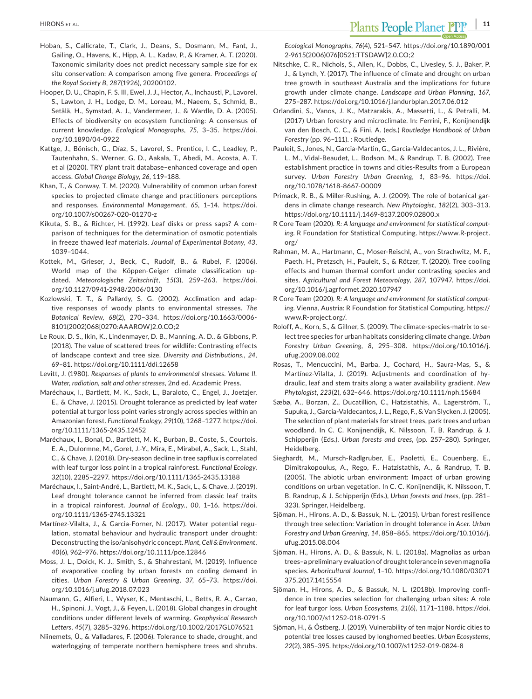- Hoban, S., Callicrate, T., Clark, J., Deans, S., Dosmann, M., Fant, J., Gailing, O., Havens, K., Hipp, A. L., Kadav, P., & Kramer, A. T. (2020). Taxonomic similarity does not predict necessary sample size for ex situ conservation: A comparison among five genera. *Proceedings of the Royal Society B*, *287*(1926), 20200102.
- Hooper, D. U., Chapin, F. S. III, Ewel, J. J., Hector, A., Inchausti, P., Lavorel, S., Lawton, J. H., Lodge, D. M., Loreau, M., Naeem, S., Schmid, B., Setälä, H., Symstad, A. J., Vandermeer, J., & Wardle, D. A. (2005). Effects of biodiversity on ecosystem functioning: A consensus of current knowledge. *Ecological Monographs*, *75*, 3–35. [https://doi.](https://doi.org/10.1890/04-0922) [org/10.1890/04-0922](https://doi.org/10.1890/04-0922)
- Kattge, J., Bönisch, G., Díaz, S., Lavorel, S., Prentice, I. C., Leadley, P., Tautenhahn, S., Werner, G. D., Aakala, T., Abedi, M., Acosta, A. T. et al (2020). TRY plant trait database–enhanced coverage and open access. *Global Change Biology*, *26*, 119–188.
- Khan, T., & Conway, T. M. (2020). Vulnerability of common urban forest species to projected climate change and practitioners perceptions and responses. *Environmental Management*, *65*, 1–14. [https://doi.](https://doi.org/10.1007/s00267-020-01270-z) [org/10.1007/s00267-020-01270-z](https://doi.org/10.1007/s00267-020-01270-z)
- Kikuta, S. B., & Richter, H. (1992). Leaf disks or press saps? A comparison of techniques for the determination of osmotic potentials in freeze thawed leaf materials. *Journal of Experimental Botany*, *43*, 1039–1044.
- Kottek, M., Grieser, J., Beck, C., Rudolf, B., & Rubel, F. (2006). World map of the Köppen-Geiger climate classification updated. *Meteorologische Zeitschrift*, *15*(3), 259–263. [https://doi.](https://doi.org/10.1127/0941-2948/2006/0130) [org/10.1127/0941-2948/2006/0130](https://doi.org/10.1127/0941-2948/2006/0130)
- Kozlowski, T. T., & Pallardy, S. G. (2002). Acclimation and adaptive responses of woody plants to environmental stresses. *The Botanical Review*, *68*(2), 270–334. [https://doi.org/10.1663/0006-](https://doi.org/10.1663/0006-8101(2002)068%5B0270:AAAROW%5D2.0.CO;2) [8101\(2002\)068\[0270:AAAROW\]2.0.CO;2](https://doi.org/10.1663/0006-8101(2002)068%5B0270:AAAROW%5D2.0.CO;2)
- Le Roux, D. S., Ikin, K., Lindenmayer, D. B., Manning, A. D., & Gibbons, P. (2018). The value of scattered trees for wildlife: Contrasting effects of landscape context and tree size. *Diversity and Distributions.*, *24*, 69–81. <https://doi.org/10.1111/ddi.12658>
- Levitt, J. (1980). *Responses of plants to environmental stresses. Volume II. Water, radiation, salt and other stresses*, 2nd ed. Academic Press.
- Maréchaux, I., Bartlett, M. K., Sack, L., Baraloto, C., Engel, J., Joetzjer, E., & Chave, J. (2015). Drought tolerance as predicted by leaf water potential at turgor loss point varies strongly across species within an Amazonian forest. *Functional Ecology*, *29*(10), 1268–1277. [https://doi.](https://doi.org/10.1111/1365-2435.12452) [org/10.1111/1365-2435.12452](https://doi.org/10.1111/1365-2435.12452)
- Maréchaux, I., Bonal, D., Bartlett, M. K., Burban, B., Coste, S., Courtois, E. A., Dulormne, M., Goret, J.-Y., Mira, E., Mirabel, A., Sack, L., Stahl, C., & Chave, J. (2018). Dry-season decline in tree sapflux is correlated with leaf turgor loss point in a tropical rainforest. *Functional Ecology*, *32*(10), 2285–2297. <https://doi.org/10.1111/1365-2435.13188>
- Maréchaux, I., Saint-André, L., Bartlett, M. K., Sack, L., & Chave, J. (2019). Leaf drought tolerance cannot be inferred from classic leaf traits in a tropical rainforest. *Journal of Ecology.*, *00*, 1–16. [https://doi.](https://doi.org/10.1111/1365-2745.13321) [org/10.1111/1365-2745.13321](https://doi.org/10.1111/1365-2745.13321)
- Martínez-Vilalta, J., & Garcia-Forner, N. (2017). Water potential regulation, stomatal behaviour and hydraulic transport under drought: Deconstructing the iso/anisohydric concept. *Plant, Cell & Environment*, *40*(6), 962–976. <https://doi.org/10.1111/pce.12846>
- Moss, J. L., Doick, K. J., Smith, S., & Shahrestani, M. (2019). Influence of evaporative cooling by urban forests on cooling demand in cities. *Urban Forestry & Urban Greening*, *37*, 65–73. [https://doi.](https://doi.org/10.1016/j.ufug.2018.07.023) [org/10.1016/j.ufug.2018.07.023](https://doi.org/10.1016/j.ufug.2018.07.023)
- Naumann, G., Alfieri, L., Wyser, K., Mentaschi, L., Betts, R. A., Carrao, H., Spinoni, J., Vogt, J., & Feyen, L. (2018). Global changes in drought conditions under different levels of warming. *Geophysical Research Letters*, *45*(7), 3285–3296. <https://doi.org/10.1002/2017GL076521>
- Niinemets, Ü., & Valladares, F. (2006). Tolerance to shade, drought, and waterlogging of temperate northern hemisphere trees and shrubs.

*Ecological Monographs*, *76*(4), 521–547. [https://doi.org/10.1890/001](https://doi.org/10.1890/0012-9615(2006)076%5B0521:TTSDAW%5D2.0.CO;2) [2-9615\(2006\)076\[0521:TTSDAW\]2.0.CO;2](https://doi.org/10.1890/0012-9615(2006)076%5B0521:TTSDAW%5D2.0.CO;2)

- Nitschke, C. R., Nichols, S., Allen, K., Dobbs, C., Livesley, S. J., Baker, P. J., & Lynch, Y. (2017). The influence of climate and drought on urban tree growth in southeast Australia and the implications for future growth under climate change. *Landscape and Urban Planning*, *167*, 275–287. <https://doi.org/10.1016/j.landurbplan.2017.06.012>
- Orlandini, S., Vanos, J. K., Matzarakis, A., Massetti, L., & Petralli, M. (2017) Urban forestry and microclimate. In: Ferrini, F., Konijnendijk van den Bosch, C. C., & Fini, A. (eds.) *Routledge Handbook of Urban Forestry* (pp. 96–111). : Routledge.
- Pauleit, S., Jones, N., Garcia-Martin, G., Garcia-Valdecantos, J. L., Rivière, L. M., Vidal-Beaudet, L., Bodson, M., & Randrup, T. B. (2002). Tree establishment practice in towns and cities-Results from a European survey. *Urban Forestry Urban Greening*, *1*, 83–96. [https://doi.](https://doi.org/10.1078/1618-8667-00009) [org/10.1078/1618-8667-00009](https://doi.org/10.1078/1618-8667-00009)
- Primack, R. B., & Miller-Rushing, A. J. (2009). The role of botanical gardens in climate change research. *New Phytologist*, *182*(2), 303–313. <https://doi.org/10.1111/j.1469-8137.2009.02800.x>
- R Core Team (2020). *R: A language and environment for statistical computing*. R Foundation for Statistical Computing. [https://www.R-project.](https://www.R-project.org/) [org/](https://www.R-project.org/)
- Rahman, M. A., Hartmann, C., Moser-Reischl, A., von Strachwitz, M. F., Paeth, H., Pretzsch, H., Pauleit, S., & Rötzer, T. (2020). Tree cooling effects and human thermal comfort under contrasting species and sites. *Agricultural and Forest Meteorology*, *287*, 107947. [https://doi.](https://doi.org/10.1016/j.agrformet.2020.107947) [org/10.1016/j.agrformet.2020.107947](https://doi.org/10.1016/j.agrformet.2020.107947)
- R Core Team (2020). *R: A language and environment for statistical computing*. Vienna, Austria: R Foundation for Statistical Computing. https:// www.R-project.org/.
- Roloff, A., Korn, S., & Gillner, S. (2009). The climate-species-matrix to select tree species for urban habitats considering climate change. *Urban Forestry Urban Greening*, *8*, 295–308. [https://doi.org/10.1016/j.](https://doi.org/10.1016/j.ufug.2009.08.002) [ufug.2009.08.002](https://doi.org/10.1016/j.ufug.2009.08.002)
- Rosas, T., Mencuccini, M., Barba, J., Cochard, H., Saura-Mas, S., & Martínez-Vilalta, J. (2019). Adjustments and coordination of hydraulic, leaf and stem traits along a water availability gradient. *New Phytologist*, *223*(2), 632–646.<https://doi.org/10.1111/nph.15684>
- Sæbø, A., Borzan, Z., Ducatillion, C., Hatzistathis, A., Lagerström, T., Supuka, J., García-Valdecantos, J. L., Rego, F., & Van Slycken, J. (2005). The selection of plant materials for street trees, park trees and urban woodland. In C. C. Konijnendijk, K. Nilssoon, T. B. Randrup, & J. Schipperijn (Eds.), *Urban forests and trees*, (pp. 257–280). Springer, Heidelberg.
- Sieghardt, M., Mursch-Radlgruber, E., Paoletti, E., Couenberg, E., Dimitrakopoulus, A., Rego, F., Hatzistathis, A., & Randrup, T. B. (2005). The abiotic urban environment: Impact of urban growing conditions on urban vegetation. In C. C. Konijnendijk, K. Nilssoon, T. B. Randrup, & J. Schipperijn (Eds.), *Urban forests and trees*, (pp. 281– 323). Springer, Heidelberg.
- Sjöman, H., Hirons, A. D., & Bassuk, N. L. (2015). Urban forest resilience through tree selection: Variation in drought tolerance in *Acer*. *Urban Forestry and Urban Greening*, *14*, 858–865. [https://doi.org/10.1016/j.](https://doi.org/10.1016/j.ufug.2015.08.004) [ufug.2015.08.004](https://doi.org/10.1016/j.ufug.2015.08.004)
- Sjöman, H., Hirons, A. D., & Bassuk, N. L. (2018a). Magnolias as urban trees–a preliminary evaluation of drought tolerance in seven magnolia species. *Arboricultural Journal*, 1–10. [https://doi.org/10.1080/03071](https://doi.org/10.1080/03071375.2017.1415554) [375.2017.1415554](https://doi.org/10.1080/03071375.2017.1415554)
- Sjöman, H., Hirons, A. D., & Bassuk, N. L. (2018b). Improving confidence in tree species selection for challenging urban sites: A role for leaf turgor loss. *Urban Ecosystems*, *21*(6), 1171–1188. [https://doi.](https://doi.org/10.1007/s11252-018-0791-5) [org/10.1007/s11252-018-0791-5](https://doi.org/10.1007/s11252-018-0791-5)
- Sjöman, H., & Östberg, J. (2019). Vulnerability of ten major Nordic cities to potential tree losses caused by longhorned beetles. *Urban Ecosystems*, *22*(2), 385–395.<https://doi.org/10.1007/s11252-019-0824-8>